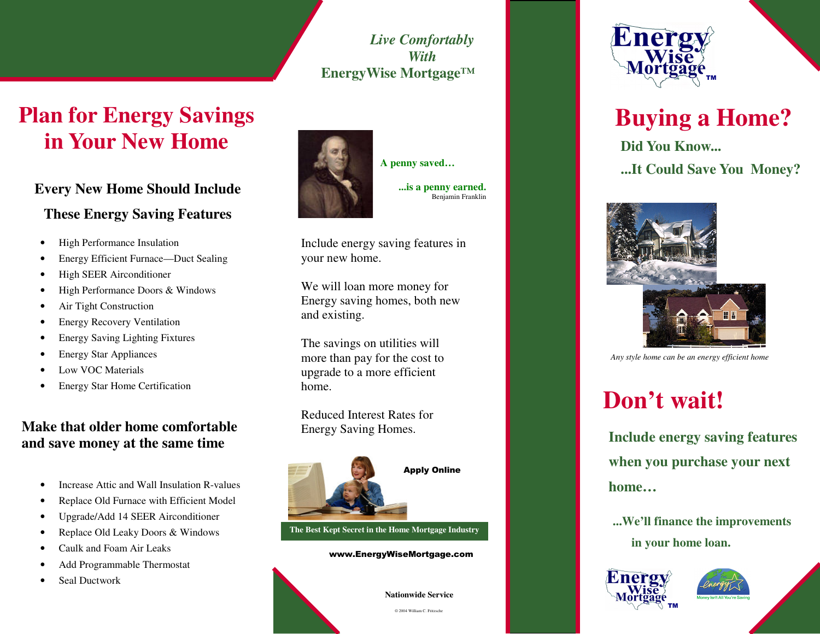*Live Comfortably With***EnergyWise Mortgage™**

### **Plan for Energy Savings in Your New Home**

#### **Every New Home Should Include**

#### **These Energy Saving Features**

- •High Performance Insulation
- •Energy Efficient Furnace—Duct Sealing
- •High SEER Airconditioner
- •High Performance Doors & Windows
- •Air Tight Construction
- •Energy Recovery Ventilation
- •Energy Saving Lighting Fixtures
- •Energy Star Appliances
- •• Low VOC Materials
- •Energy Star Home Certification

#### **Make that older home comfortable and save money at the same time**

- •• Increase Attic and Wall Insulation R-values
- •Replace Old Furnace with Efficient Model
- •Upgrade/Add 14 SEER Airconditioner
- •Replace Old Leaky Doors & Windows
- •• Caulk and Foam Air Leaks
- •Add Programmable Thermostat
- •Seal Ductwork



**...is a penny earned.** Benjamin Franklin

**A penny saved…**

Include energy saving features in your new home.

We will loan more money for Energy saving homes, both new and existing.

The savings on utilities will more than pay for the cost to upgrade to <sup>a</sup> more efficient home.

Reduced Interest Rates for Energy Saving Homes.



**The Best Kept Secret in the Home Mortgage Industry**

www.EnergyWiseMortgage.com





## **Buying <sup>a</sup> Home?**

**Did You Know... ...It Could Save You Money?**



*Any style home can be an energy efficient home*

# **Don't wait!**

**Include energy saving features when you purchase your next home…**

**...We'll finance the improvements in your home loan.**





© 2004 William C. Fritzsche